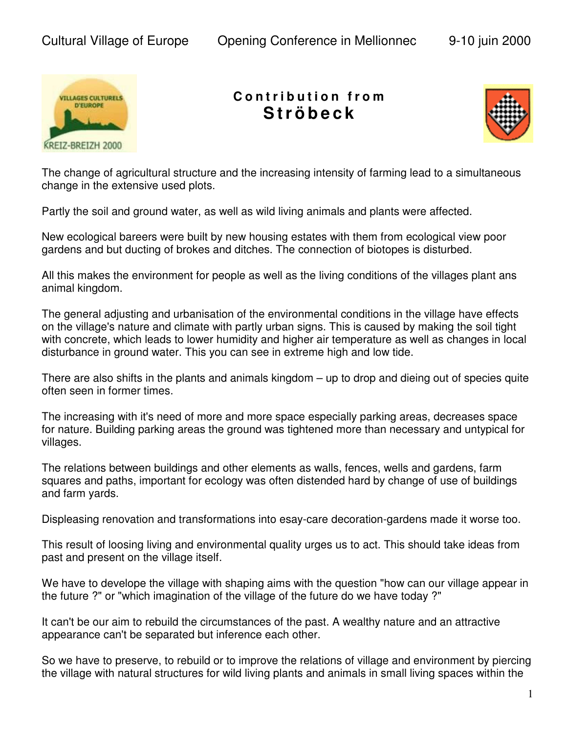

## **C o n t r i b u t i o n f r o m Str ö b eck**



The change of agricultural structure and the increasing intensity of farming lead to a simultaneous change in the extensive used plots.

Partly the soil and ground water, as well as wild living animals and plants were affected.

New ecological bareers were built by new housing estates with them from ecological view poor gardens and but ducting of brokes and ditches. The connection of biotopes is disturbed.

All this makes the environment for people as well as the living conditions of the villages plant ans animal kingdom.

The general adjusting and urbanisation of the environmental conditions in the village have effects on the village's nature and climate with partly urban signs. This is caused by making the soil tight with concrete, which leads to lower humidity and higher air temperature as well as changes in local disturbance in ground water. This you can see in extreme high and low tide.

There are also shifts in the plants and animals kingdom – up to drop and dieing out of species quite often seen in former times.

The increasing with it's need of more and more space especially parking areas, decreases space for nature. Building parking areas the ground was tightened more than necessary and untypical for villages.

The relations between buildings and other elements as walls, fences, wells and gardens, farm squares and paths, important for ecology was often distended hard by change of use of buildings and farm yards.

Displeasing renovation and transformations into esay-care decoration-gardens made it worse too.

This result of loosing living and environmental quality urges us to act. This should take ideas from past and present on the village itself.

We have to develope the village with shaping aims with the question "how can our village appear in the future ?" or "which imagination of the village of the future do we have today ?"

It can't be our aim to rebuild the circumstances of the past. A wealthy nature and an attractive appearance can't be separated but inference each other.

So we have to preserve, to rebuild or to improve the relations of village and environment by piercing the village with natural structures for wild living plants and animals in small living spaces within the